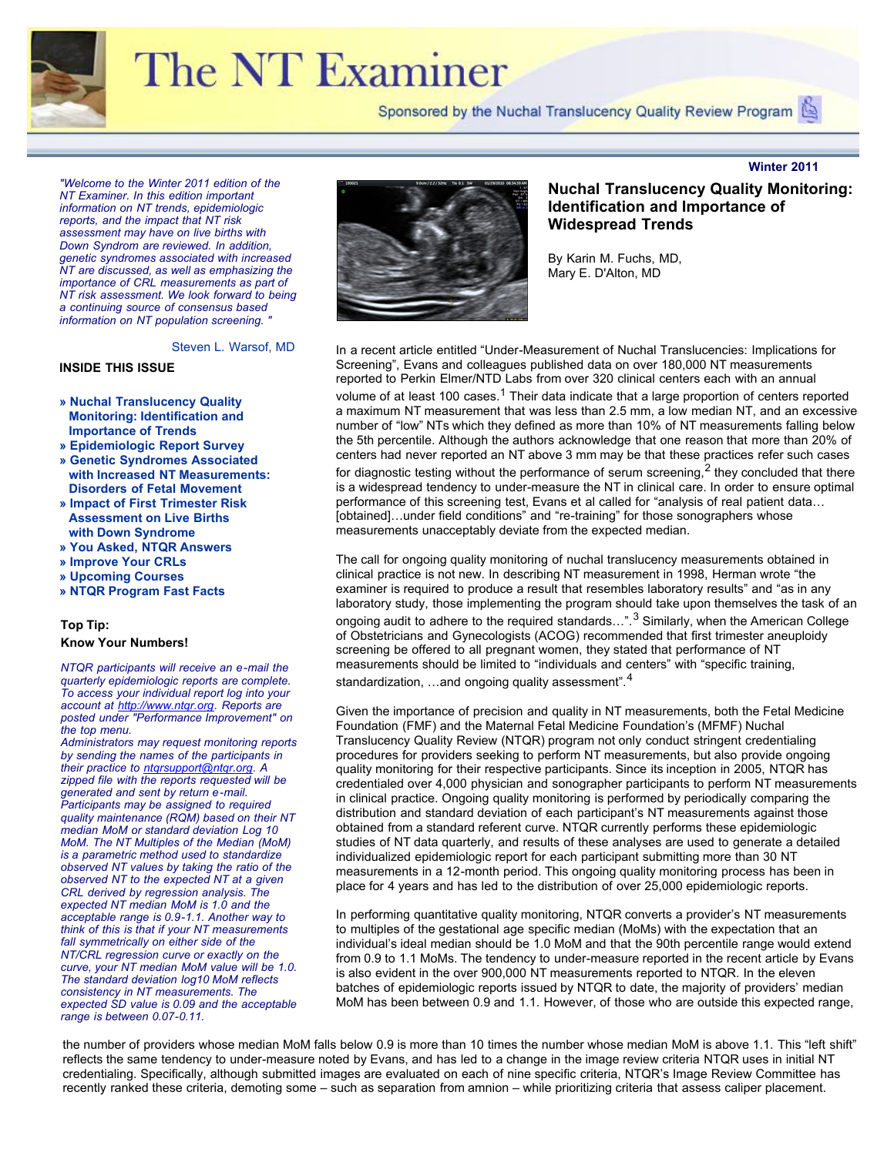

## **The NT Examiner**

Sponsored by the Nuchal Translucency Quality Review Program

*"Welcome to the Winter 2011 edition of the NT Examiner. In this edition important information on NT trends, epidemiologic reports, and the impact that NT risk assessment may have on live births with Down Syndrom are reviewed. In addition, genetic syndromes associated with increased NT are discussed, as well as emphasizing the importance of CRL measurements as part of NT risk assessment. We look forward to being a continuing source of consensus based information on NT population screening. "*

Steven L. Warsof, MD

#### **INSIDE THIS ISSUE**

- **» [Nuchal Translucency Quality](file:///Users/jeanlea/Documents/ntqr/newsletter/winter2011/V5_ntqr_examiner_issue_no_9.html#topic1) [Monitoring: Identification and](file:///Users/jeanlea/Documents/ntqr/newsletter/winter2011/V5_ntqr_examiner_issue_no_9.html#topic1)  [Importance of Trends](file:///Users/jeanlea/Documents/ntqr/newsletter/winter2011/V5_ntqr_examiner_issue_no_9.html#topic1)**
- **» [Epidemiologic Report Survey](file:///Users/jeanlea/Documents/ntqr/newsletter/winter2011/V5_ntqr_examiner_issue_no_9.html#topic2)**
- **» [Genetic Syndromes Associated](file:///Users/jeanlea/Documents/ntqr/newsletter/winter2011/V5_ntqr_examiner_issue_no_9.html#topic3) [with Increased NT Measurements:](file:///Users/jeanlea/Documents/ntqr/newsletter/winter2011/V5_ntqr_examiner_issue_no_9.html#topic3) Disorders of Fetal Movement**
- **[» Impact of First Trimester Ris](file:///Users/jeanlea/Documents/ntqr/newsletter/winter2011/V5_ntqr_examiner_issue_no_9.html#topic3)[k](file:///Users/jeanlea/Documents/ntqr/newsletter/winter2011/V5_ntqr_examiner_issue_no_9.html#topic4) [Assessment on Live Births](file:///Users/jeanlea/Documents/ntqr/newsletter/winter2011/V5_ntqr_examiner_issue_no_9.html#topic4)  [with Down Syndrome](file:///Users/jeanlea/Documents/ntqr/newsletter/winter2011/V5_ntqr_examiner_issue_no_9.html#topic4)**
- **» [You Asked, NTQR Answers](file:///Users/jeanlea/Documents/ntqr/newsletter/winter2011/V5_ntqr_examiner_issue_no_9.html#topic5)**
- **» [Improve Your CRLs](file:///Users/jeanlea/Documents/ntqr/newsletter/winter2011/V5_ntqr_examiner_issue_no_9.html#topic5)**
- **» [Upcoming Courses](file:///Users/jeanlea/Documents/ntqr/newsletter/winter2011/V5_ntqr_examiner_issue_no_9.html#topic7)**
- **» [NTQR Program Fast Facts](file:///Users/jeanlea/Documents/ntqr/newsletter/winter2011/V5_ntqr_examiner_issue_no_9.html#topic8)**

#### **Top Tip: Know Your Numbers!**

*NTQR participants will receive an e-mail the quarterly epidemiologic reports are complete. To access your individual report log into your account at [http://www.ntqr.org.](http:www.ntqr.org) Reports are posted under "Performance Improvement" on the top menu.* 

*Administrators may request monitoring reports by sending the names of the participants in their practice to [ntqrsupport@ntqr.org](mailto:ntqrsupport@ntqr.org). A zipped file with the reports requested will be generated and sent by return e-mail. Participants may be assigned to required quality maintenance (RQM) based on their NT median MoM or standard deviation Log 10 MoM. The NT Multiples of the Median (MoM) is a parametric method used to standardize observed NT values by taking the ratio of the observed NT to the expected NT at a given CRL derived by regression analysis. The expected NT median MoM is 1.0 and the acceptable range is 0.9-1.1. Another way to think of this is that if your NT measurements fall symmetrically on either side of the NT/CRL regression curve or exactly on the curve, your NT median MoM value will be 1.0. The standard deviation log10 MoM reflects consistency in NT measurements. The expected SD value is 0.09 and the acceptable range is between 0.07-0.11.* 



#### **Nuchal Translucency Quality Monitoring: Identification and Importance of Widespread Trends**

By Karin M. Fuchs, MD, Mary E. D'Alton, MD

In a recent article entitled "Under-Measurement of Nuchal Translucencies: Implications for Screening", Evans and colleagues published data on over 180,000 NT measurements reported to Perkin Elmer/NTD Labs from over 320 clinical centers each with an annual volume of at least 100 cases.<sup>1</sup> Their data indicate that a large proportion of centers reported a maximum NT measurement that was less than 2.5 mm, a low median NT, and an excessive number of "low" NTs which they defined as more than 10% of NT measurements falling below the 5th percentile. Although the authors acknowledge that one reason that more than 20% of centers had never reported an NT above 3 mm may be that these practices refer such cases for diagnostic testing without the performance of serum screening,<sup>2</sup> they concluded that there is a widespread tendency to under-measure the NT in clinical care. In order to ensure optimal performance of this screening test, Evans et al called for "analysis of real patient data… [obtained]…under field conditions" and "re-training" for those sonographers whose measurements unacceptably deviate from the expected median.

The call for ongoing quality monitoring of nuchal translucency measurements obtained in clinical practice is not new. In describing NT measurement in 1998, Herman wrote "the examiner is required to produce a result that resembles laboratory results" and "as in any laboratory study, those implementing the program should take upon themselves the task of an ongoing audit to adhere to the required standards...".<sup>3</sup> Similarly, when the American College of Obstetricians and Gynecologists (ACOG) recommended that first trimester aneuploidy screening be offered to all pregnant women, they stated that performance of NT measurements should be limited to "individuals and centers" with "specific training, standardization, ... and ongoing quality assessment".<sup>4</sup>

Given the importance of precision and quality in NT measurements, both the Fetal Medicine Foundation (FMF) and the Maternal Fetal Medicine Foundation's (MFMF) Nuchal Translucency Quality Review (NTQR) program not only conduct stringent credentialing procedures for providers seeking to perform NT measurements, but also provide ongoing quality monitoring for their respective participants. Since its inception in 2005, NTQR has credentialed over 4,000 physician and sonographer participants to perform NT measurements in clinical practice. Ongoing quality monitoring is performed by periodically comparing the distribution and standard deviation of each participant's NT measurements against those obtained from a standard referent curve. NTQR currently performs these epidemiologic studies of NT data quarterly, and results of these analyses are used to generate a detailed individualized epidemiologic report for each participant submitting more than 30 NT measurements in a 12-month period. This ongoing quality monitoring process has been in place for 4 years and has led to the distribution of over 25,000 epidemiologic reports.

In performing quantitative quality monitoring, NTQR converts a provider's NT measurements to multiples of the gestational age specific median (MoMs) with the expectation that an individual's ideal median should be 1.0 MoM and that the 90th percentile range would extend from 0.9 to 1.1 MoMs. The tendency to under-measure reported in the recent article by Evans is also evident in the over 900,000 NT measurements reported to NTQR. In the eleven batches of epidemiologic reports issued by NTQR to date, the majority of providers' median MoM has been between 0.9 and 1.1. However, of those who are outside this expected range,

the number of providers whose median MoM falls below 0.9 is more than 10 times the number whose median MoM is above 1.1. This "left shift" reflects the same tendency to under-measure noted by Evans, and has led to a change in the image review criteria NTQR uses in initial NT credentialing. Specifically, although submitted images are evaluated on each of nine specific criteria, NTQR's Image Review Committee has recently ranked these criteria, demoting some – such as separation from amnion – while prioritizing criteria that assess caliper placement.

#### **Winter 2011**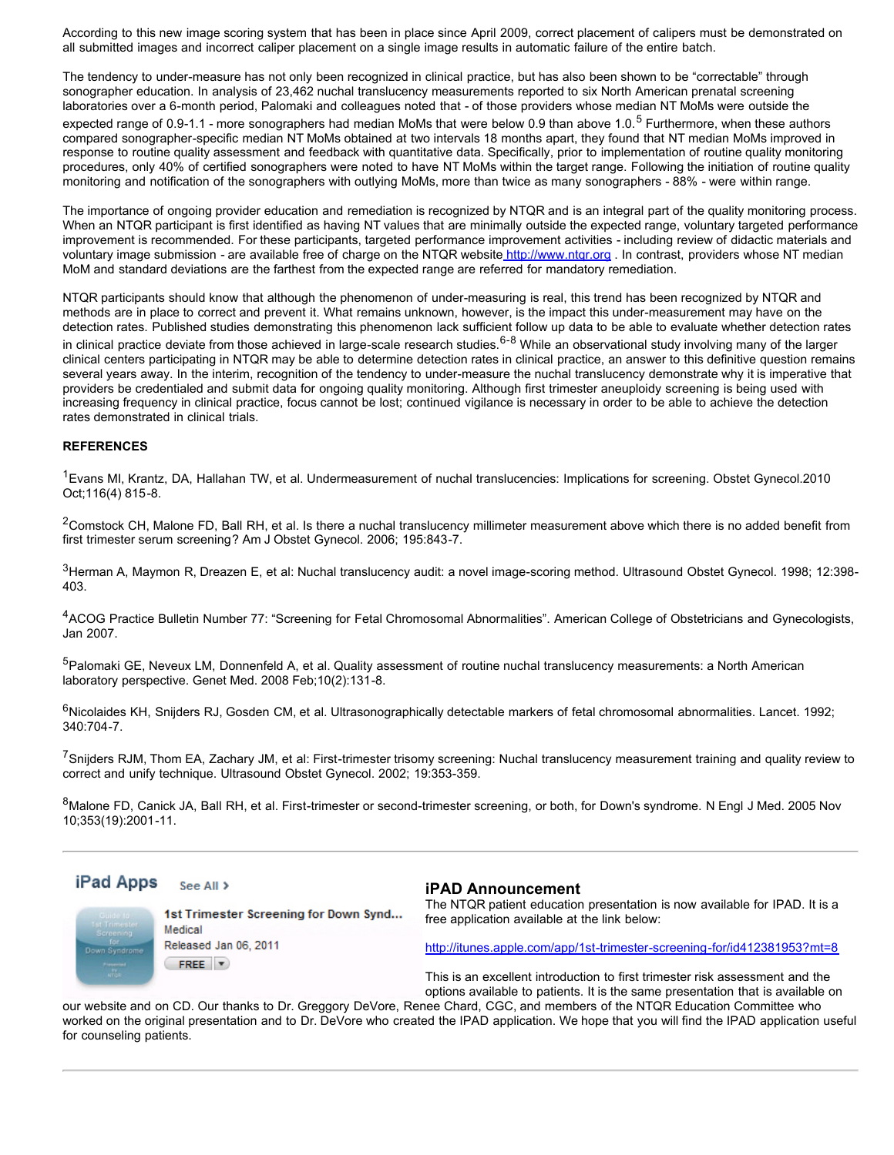According to this new image scoring system that has been in place since April 2009, correct placement of calipers must be demonstrated on all submitted images and incorrect caliper placement on a single image results in automatic failure of the entire batch.

The tendency to under-measure has not only been recognized in clinical practice, but has also been shown to be "correctable" through sonographer education. In analysis of 23,462 nuchal translucency measurements reported to six North American prenatal screening laboratories over a 6-month period, Palomaki and colleagues noted that - of those providers whose median NT MoMs were outside the expected range of 0.9-1.1 - more sonographers had median MoMs that were below 0.9 than above 1.0.<sup>5</sup> Furthermore, when these authors compared sonographer-specific median NT MoMs obtained at two intervals 18 months apart, they found that NT median MoMs improved in response to routine quality assessment and feedback with quantitative data. Specifically, prior to implementation of routine quality monitoring procedures, only 40% of certified sonographers were noted to have NT MoMs within the target range. Following the initiation of routine quality monitoring and notification of the sonographers with outlying MoMs, more than twice as many sonographers - 88% - were within range.

The importance of ongoing provider education and remediation is recognized by NTQR and is an integral part of the quality monitoring process. When an NTQR participant is first identified as having NT values that are minimally outside the expected range, voluntary targeted performance improvement is recommended. For these participants, targeted performance improvement activities - including review of didactic materials and voluntary image submission - are available free of charge on the NTQR website http://www.ntgr.org . In contrast, providers whose NT median MoM and standard deviations are the farthest from the expected range are referred for mandatory remediation.

NTQR participants should know that although the phenomenon of under-measuring is real, this trend has been recognized by NTQR and methods are in place to correct and prevent it. What remains unknown, however, is the impact this under-measurement may have on the detection rates. Published studies demonstrating this phenomenon lack sufficient follow up data to be able to evaluate whether detection rates in clinical practice deviate from those achieved in large-scale research studies. <sup>6-8</sup> While an observational study involving many of the larger clinical centers participating in NTQR may be able to determine detection rates in clinical practice, an answer to this definitive question remains several years away. In the interim, recognition of the tendency to under-measure the nuchal translucency demonstrate why it is imperative that providers be credentialed and submit data for ongoing quality monitoring. Although first trimester aneuploidy screening is being used with increasing frequency in clinical practice, focus cannot be lost; continued vigilance is necessary in order to be able to achieve the detection rates demonstrated in clinical trials.

#### **REFERENCES**

<sup>1</sup> Evans MI, Krantz, DA, Hallahan TW, et al. Undermeasurement of nuchal translucencies: Implications for screening. Obstet Gynecol.2010 Oct;116(4) 815-8.

 $2$ Comstock CH, Malone FD, Ball RH, et al. Is there a nuchal translucency millimeter measurement above which there is no added benefit from first trimester serum screening? Am J Obstet Gynecol. 2006; 195:843-7.

3Herman A, Maymon R, Dreazen E, et al: Nuchal translucency audit: a novel image-scoring method. Ultrasound Obstet Gynecol. 1998; 12:398-403.

<sup>4</sup>ACOG Practice Bulletin Number 77: "Screening for Fetal Chromosomal Abnormalities". American College of Obstetricians and Gynecologists, Jan 2007.

5Palomaki GE, Neveux LM, Donnenfeld A, et al. Quality assessment of routine nuchal translucency measurements: a North American laboratory perspective. Genet Med. 2008 Feb;10(2):131-8.

<sup>6</sup>Nicolaides KH, Snijders RJ, Gosden CM, et al. Ultrasonographically detectable markers of fetal chromosomal abnormalities. Lancet. 1992; 340:704-7.

<sup>7</sup>Sniiders RJM, Thom EA, Zachary JM, et al: First-trimester trisomy screening: Nuchal translucency measurement training and quality review to correct and unify technique. Ultrasound Obstet Gynecol. 2002; 19:353-359.

8Malone FD, Canick JA, Ball RH, et al. First-trimester or second-trimester screening, or both, for Down's syndrome. N Engl J Med. 2005 Nov 10;353(19):2001-11.

#### iPad Apps See All >

Down Syndro

1st Trimester Screening for Down Synd... Medical Released Jan 06, 2011 FREE **v** 

**iPAD Announcement**

The NTQR patient education presentation is now available for IPAD. It is a free application available at the link below:

<http://itunes.apple.com/app/1st-trimester-screening-for/id412381953?mt=8>

This is an excellent introduction to first trimester risk assessment and the options available to patients. It is the same presentation that is available on

our website and on CD. Our thanks to Dr. Greggory DeVore, Renee Chard, CGC, and members of the NTQR Education Committee who worked on the original presentation and to Dr. DeVore who created the IPAD application. We hope that you will find the IPAD application useful for counseling patients.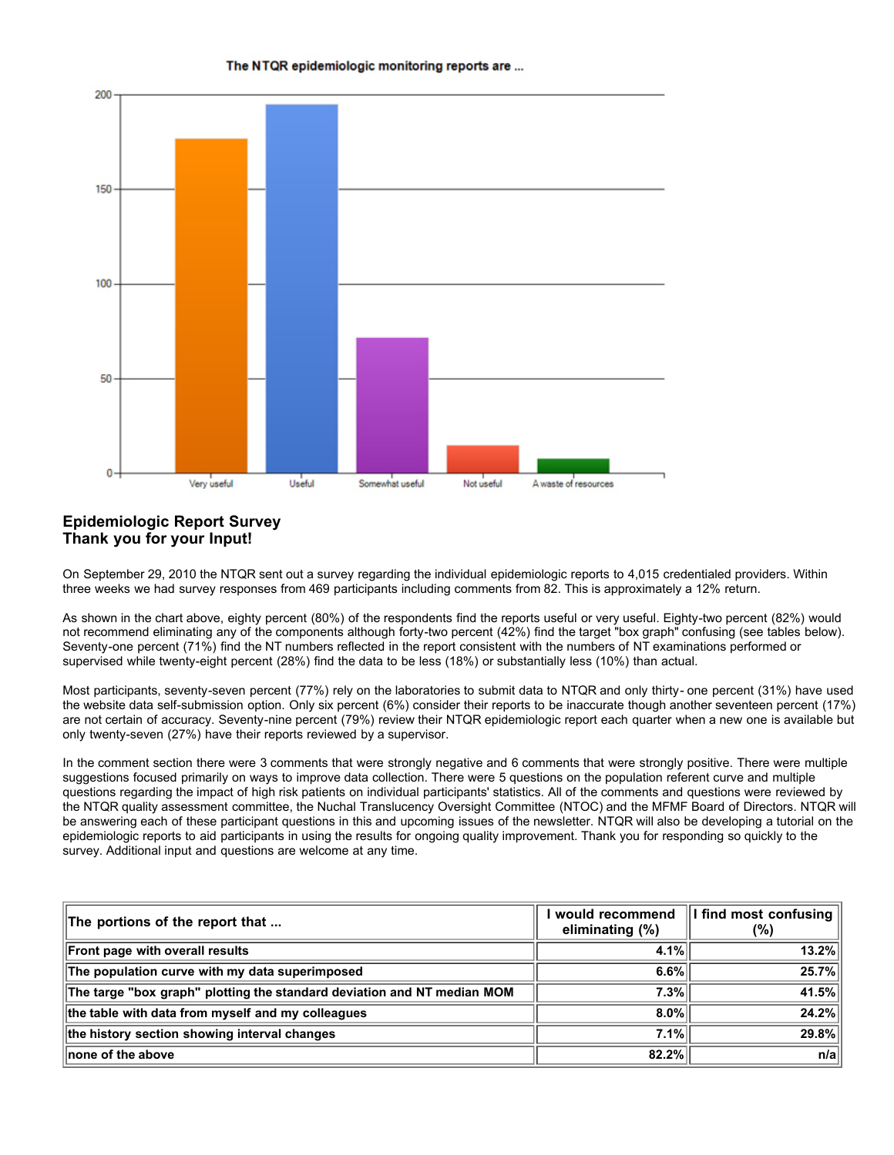

#### The NTQR epidemiologic monitoring reports are ...

#### **Epidemiologic Report Survey Thank you for your Input!**

On September 29, 2010 the NTQR sent out a survey regarding the individual epidemiologic reports to 4,015 credentialed providers. Within three weeks we had survey responses from 469 participants including comments from 82. This is approximately a 12% return.

As shown in the chart above, eighty percent (80%) of the respondents find the reports useful or very useful. Eighty-two percent (82%) would not recommend eliminating any of the components although forty-two percent (42%) find the target "box graph" confusing (see tables below). Seventy-one percent (71%) find the NT numbers reflected in the report consistent with the numbers of NT examinations performed or supervised while twenty-eight percent (28%) find the data to be less (18%) or substantially less (10%) than actual.

Most participants, seventy-seven percent (77%) rely on the laboratories to submit data to NTQR and only thirty- one percent (31%) have used the website data self-submission option. Only six percent (6%) consider their reports to be inaccurate though another seventeen percent (17%) are not certain of accuracy. Seventy-nine percent (79%) review their NTQR epidemiologic report each quarter when a new one is available but only twenty-seven (27%) have their reports reviewed by a supervisor.

In the comment section there were 3 comments that were strongly negative and 6 comments that were strongly positive. There were multiple suggestions focused primarily on ways to improve data collection. There were 5 questions on the population referent curve and multiple questions regarding the impact of high risk patients on individual participants' statistics. All of the comments and questions were reviewed by the NTQR quality assessment committee, the Nuchal Translucency Oversight Committee (NTOC) and the MFMF Board of Directors. NTQR will be answering each of these participant questions in this and upcoming issues of the newsletter. NTQR will also be developing a tutorial on the epidemiologic reports to aid participants in using the results for ongoing quality improvement. Thank you for responding so quickly to the survey. Additional input and questions are welcome at any time.

| The portions of the report that                                         | would recommend<br>eliminating (%) | I find most confusing<br>$(\%)$ |
|-------------------------------------------------------------------------|------------------------------------|---------------------------------|
| Front page with overall results                                         | 4.1%                               | 13.2%                           |
| The population curve with my data superimposed                          | 6.6%                               | 25.7%                           |
| The targe "box graph" plotting the standard deviation and NT median MOM | 7.3%                               | 41.5%                           |
| the table with data from myself and my colleagues                       | $8.0\%$                            | 24.2%                           |
| the history section showing interval changes                            | 7.1%                               | 29.8%                           |
| <b>∥none of the above</b>                                               | 82.2%                              | n/a                             |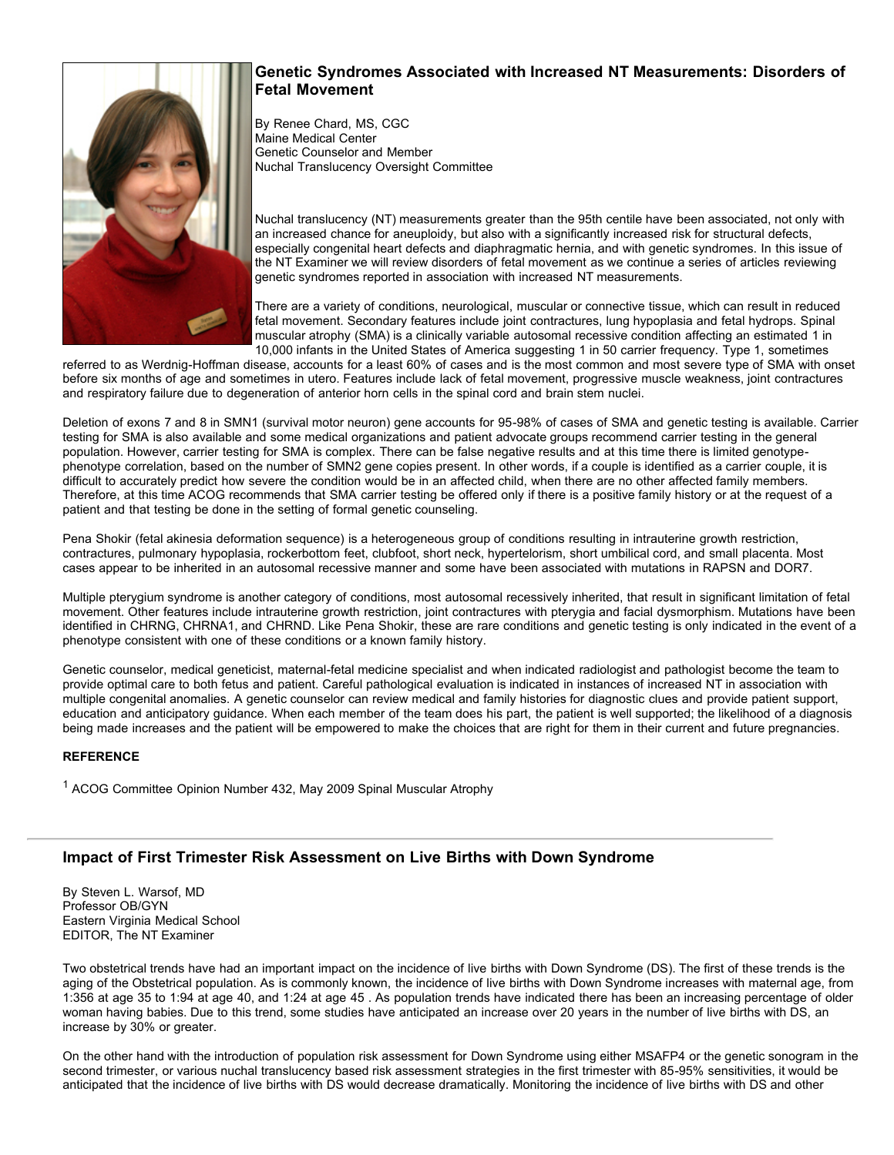#### **Genetic Syndromes Associated with Increased NT Measurements: Disorders of Fetal Movement**

By Renee Chard, MS, CGC Maine Medical Center Genetic Counselor and Member Nuchal Translucency Oversight Committee

Nuchal translucency (NT) measurements greater than the 95th centile have been associated, not only with an increased chance for aneuploidy, but also with a significantly increased risk for structural defects, especially congenital heart defects and diaphragmatic hernia, and with genetic syndromes. In this issue of the NT Examiner we will review disorders of fetal movement as we continue a series of articles reviewing genetic syndromes reported in association with increased NT measurements.

There are a variety of conditions, neurological, muscular or connective tissue, which can result in reduced fetal movement. Secondary features include joint contractures, lung hypoplasia and fetal hydrops. Spinal muscular atrophy (SMA) is a clinically variable autosomal recessive condition affecting an estimated 1 in 10,000 infants in the United States of America suggesting 1 in 50 carrier frequency. Type 1, sometimes

referred to as Werdnig-Hoffman disease, accounts for a least 60% of cases and is the most common and most severe type of SMA with onset before six months of age and sometimes in utero. Features include lack of fetal movement, progressive muscle weakness, joint contractures and respiratory failure due to degeneration of anterior horn cells in the spinal cord and brain stem nuclei.

Deletion of exons 7 and 8 in SMN1 (survival motor neuron) gene accounts for 95-98% of cases of SMA and genetic testing is available. Carrier testing for SMA is also available and some medical organizations and patient advocate groups recommend carrier testing in the general population. However, carrier testing for SMA is complex. There can be false negative results and at this time there is limited genotypephenotype correlation, based on the number of SMN2 gene copies present. In other words, if a couple is identified as a carrier couple, it is difficult to accurately predict how severe the condition would be in an affected child, when there are no other affected family members. Therefore, at this time ACOG recommends that SMA carrier testing be offered only if there is a positive family history or at the request of a patient and that testing be done in the setting of formal genetic counseling.

Pena Shokir (fetal akinesia deformation sequence) is a heterogeneous group of conditions resulting in intrauterine growth restriction, contractures, pulmonary hypoplasia, rockerbottom feet, clubfoot, short neck, hypertelorism, short umbilical cord, and small placenta. Most cases appear to be inherited in an autosomal recessive manner and some have been associated with mutations in RAPSN and DOR7.

Multiple ptervaium syndrome is another category of conditions, most autosomal recessively inherited, that result in significant limitation of fetal movement. Other features include intrauterine growth restriction, joint contractures with pterygia and facial dysmorphism. Mutations have been identified in CHRNG, CHRNA1, and CHRND. Like Pena Shokir, these are rare conditions and genetic testing is only indicated in the event of a phenotype consistent with one of these conditions or a known family history.

Genetic counselor, medical geneticist, maternal-fetal medicine specialist and when indicated radiologist and pathologist become the team to provide optimal care to both fetus and patient. Careful pathological evaluation is indicated in instances of increased NT in association with multiple congenital anomalies. A genetic counselor can review medical and family histories for diagnostic clues and provide patient support, education and anticipatory guidance. When each member of the team does his part, the patient is well supported; the likelihood of a diagnosis being made increases and the patient will be empowered to make the choices that are right for them in their current and future pregnancies.

#### **REFERENCE**

<sup>1</sup> ACOG Committee Opinion Number 432, May 2009 Spinal Muscular Atrophy

### **Impact of First Trimester Risk Assessment on Live Births with Down Syndrome**

By Steven L. Warsof, MD Professor OB/GYN Eastern Virginia Medical School EDITOR, The NT Examiner

Two obstetrical trends have had an important impact on the incidence of live births with Down Syndrome (DS). The first of these trends is the aging of the Obstetrical population. As is commonly known, the incidence of live births with Down Syndrome increases with maternal age, from 1:356 at age 35 to 1:94 at age 40, and 1:24 at age 45 . As population trends have indicated there has been an increasing percentage of older woman having babies. Due to this trend, some studies have anticipated an increase over 20 years in the number of live births with DS, an increase by 30% or greater.

On the other hand with the introduction of population risk assessment for Down Syndrome using either MSAFP4 or the genetic sonogram in the second trimester, or various nuchal translucency based risk assessment strategies in the first trimester with 85-95% sensitivities, it would be anticipated that the incidence of live births with DS would decrease dramatically. Monitoring the incidence of live births with DS and other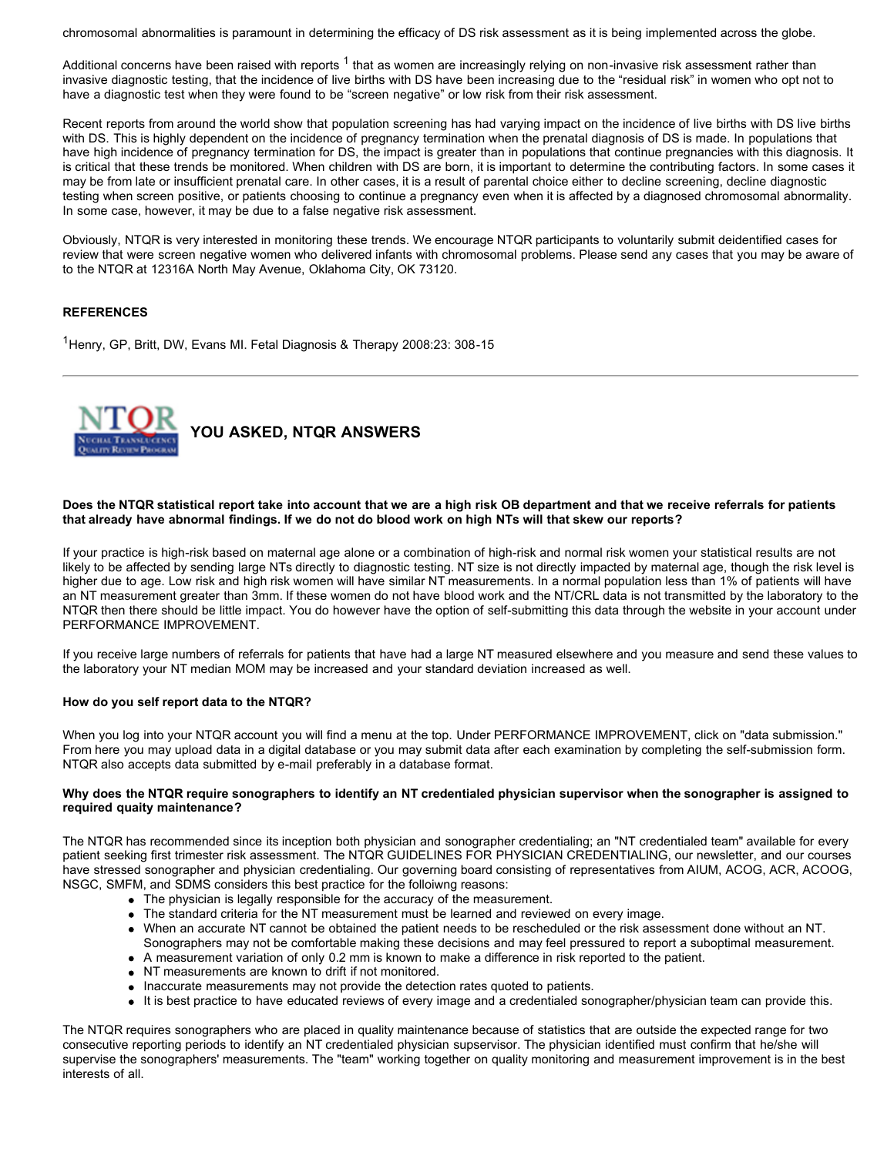chromosomal abnormalities is paramount in determining the efficacy of DS risk assessment as it is being implemented across the globe.

Additional concerns have been raised with reports <sup>1</sup> that as women are increasingly relying on non-invasive risk assessment rather than invasive diagnostic testing, that the incidence of live births with DS have been increasing due to the "residual risk" in women who opt not to have a diagnostic test when they were found to be "screen negative" or low risk from their risk assessment.

Recent reports from around the world show that population screening has had varying impact on the incidence of live births with DS live births with DS. This is highly dependent on the incidence of pregnancy termination when the prenatal diagnosis of DS is made. In populations that have high incidence of pregnancy termination for DS, the impact is greater than in populations that continue pregnancies with this diagnosis. It is critical that these trends be monitored. When children with DS are born, it is important to determine the contributing factors. In some cases it may be from late or insufficient prenatal care. In other cases, it is a result of parental choice either to decline screening, decline diagnostic testing when screen positive, or patients choosing to continue a pregnancy even when it is affected by a diagnosed chromosomal abnormality. In some case, however, it may be due to a false negative risk assessment.

Obviously, NTQR is very interested in monitoring these trends. We encourage NTQR participants to voluntarily submit deidentified cases for review that were screen negative women who delivered infants with chromosomal problems. Please send any cases that you may be aware of to the NTQR at 12316A North May Avenue, Oklahoma City, OK 73120.

#### **REFERENCES**

<sup>1</sup>Henry, GP, Britt, DW, Evans MI. Fetal Diagnosis & Therapy 2008:23: 308-15



#### **Does the NTQR statistical report take into account that we are a high risk OB department and that we receive referrals for patients that already have abnormal findings. If we do not do blood work on high NTs will that skew our reports?**

If your practice is high-risk based on maternal age alone or a combination of high-risk and normal risk women your statistical results are not likely to be affected by sending large NTs directly to diagnostic testing. NT size is not directly impacted by maternal age, though the risk level is higher due to age. Low risk and high risk women will have similar NT measurements. In a normal population less than 1% of patients will have an NT measurement greater than 3mm. If these women do not have blood work and the NT/CRL data is not transmitted by the laboratory to the NTQR then there should be little impact. You do however have the option of self-submitting this data through the website in your account under PERFORMANCE IMPROVEMENT.

If you receive large numbers of referrals for patients that have had a large NT measured elsewhere and you measure and send these values to the laboratory your NT median MOM may be increased and your standard deviation increased as well.

#### **How do you self report data to the NTQR?**

When you log into your NTQR account you will find a menu at the top. Under PERFORMANCE IMPROVEMENT, click on "data submission." From here you may upload data in a digital database or you may submit data after each examination by completing the self-submission form. NTQR also accepts data submitted by e-mail preferably in a database format.

#### **Why does the NTQR require sonographers to identify an NT credentialed physician supervisor when the sonographer is assigned to required quaity maintenance?**

The NTQR has recommended since its inception both physician and sonographer credentialing; an "NT credentialed team" available for every patient seeking first trimester risk assessment. The NTQR GUIDELINES FOR PHYSICIAN CREDENTIALING, our newsletter, and our courses have stressed sonographer and physician credentialing. Our governing board consisting of representatives from AIUM, ACOG, ACR, ACOOG, NSGC, SMFM, and SDMS considers this best practice for the folloiwng reasons:

- The physician is legally responsible for the accuracy of the measurement.
- The standard criteria for the NT measurement must be learned and reviewed on every image.
- When an accurate NT cannot be obtained the patient needs to be rescheduled or the risk assessment done without an NT.
- Sonographers may not be comfortable making these decisions and may feel pressured to report a suboptimal measurement. A measurement variation of only 0.2 mm is known to make a difference in risk reported to the patient.
- 
- NT measurements are known to drift if not monitored.
- Inaccurate measurements may not provide the detection rates quoted to patients.
- It is best practice to have educated reviews of every image and a credentialed sonographer/physician team can provide this.

The NTQR requires sonographers who are placed in quality maintenance because of statistics that are outside the expected range for two consecutive reporting periods to identify an NT credentialed physician supservisor. The physician identified must confirm that he/she will supervise the sonographers' measurements. The "team" working together on quality monitoring and measurement improvement is in the best interests of all.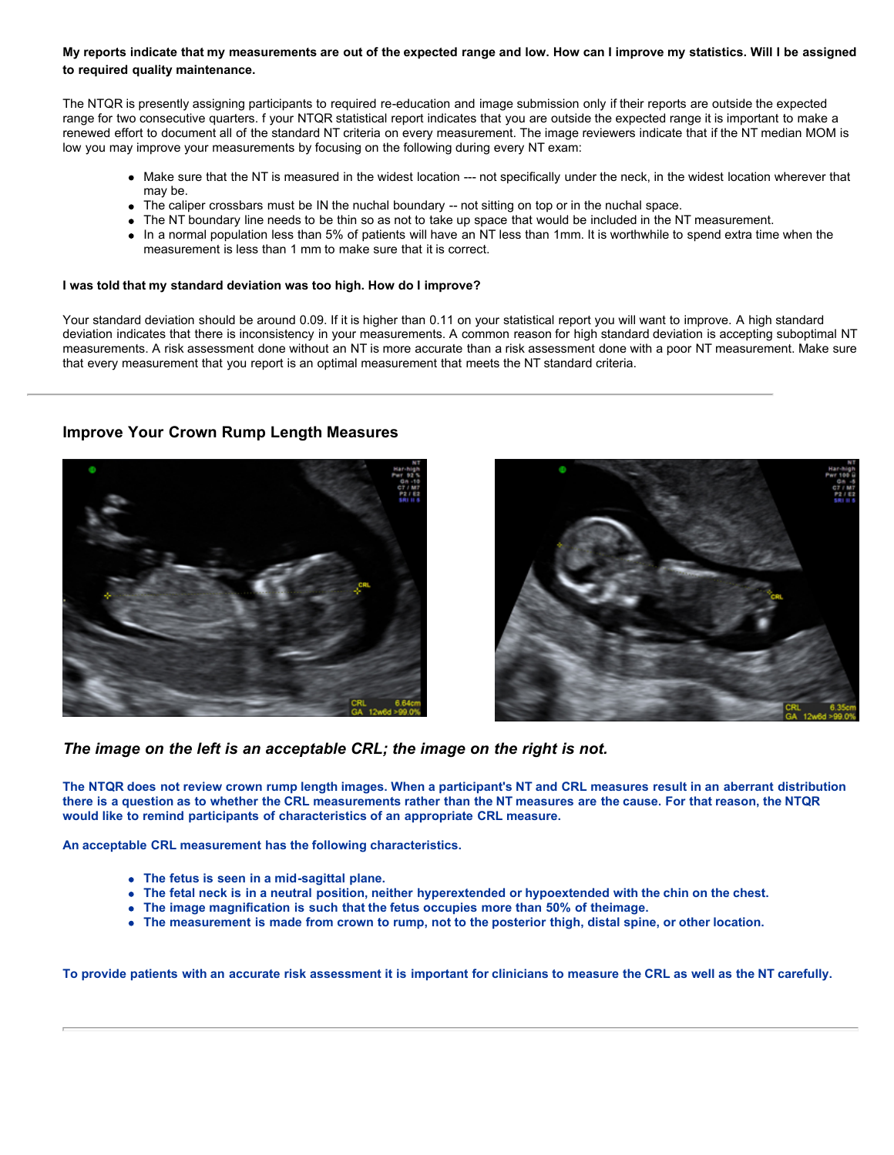#### **My reports indicate that my measurements are out of the expected range and low. How can I improve my statistics. Will I be assigned to required quality maintenance.**

The NTQR is presently assigning participants to required re-education and image submission only if their reports are outside the expected range for two consecutive quarters. f your NTQR statistical report indicates that you are outside the expected range it is important to make a renewed effort to document all of the standard NT criteria on every measurement. The image reviewers indicate that if the NT median MOM is low you may improve your measurements by focusing on the following during every NT exam:

- Make sure that the NT is measured in the widest location --- not specifically under the neck, in the widest location wherever that may be.
- The caliper crossbars must be IN the nuchal boundary -- not sitting on top or in the nuchal space.
- The NT boundary line needs to be thin so as not to take up space that would be included in the NT measurement.
- In a normal population less than 5% of patients will have an NT less than 1mm. It is worthwhile to spend extra time when the measurement is less than 1 mm to make sure that it is correct.

#### **I was told that my standard deviation was too high. How do I improve?**

Your standard deviation should be around 0.09. If it is higher than 0.11 on your statistical report you will want to improve. A high standard deviation indicates that there is inconsistency in your measurements. A common reason for high standard deviation is accepting suboptimal NT measurements. A risk assessment done without an NT is more accurate than a risk assessment done with a poor NT measurement. Make sure that every measurement that you report is an optimal measurement that meets the NT standard criteria.

#### **Improve Your Crown Rump Length Measures**





*The image on the left is an acceptable CRL; the image on the right is not.* 

**The NTQR does not review crown rump length images. When a participant's NT and CRL measures result in an aberrant distribution there is a question as to whether the CRL measurements rather than the NT measures are the cause. For that reason, the NTQR would like to remind participants of characteristics of an appropriate CRL measure.** 

**An acceptable CRL measurement has the following characteristics.**

- **The fetus is seen in a mid-sagittal plane.**
- **The fetal neck is in a neutral position, neither hyperextended or hypoextended with the chin on the chest.**
- **The image magnification is such that the fetus occupies more than 50% of theimage.**
- **The measurement is made from crown to rump, not to the posterior thigh, distal spine, or other location.**

**To provide patients with an accurate risk assessment it is important for clinicians to measure the CRL as well as the NT carefully.**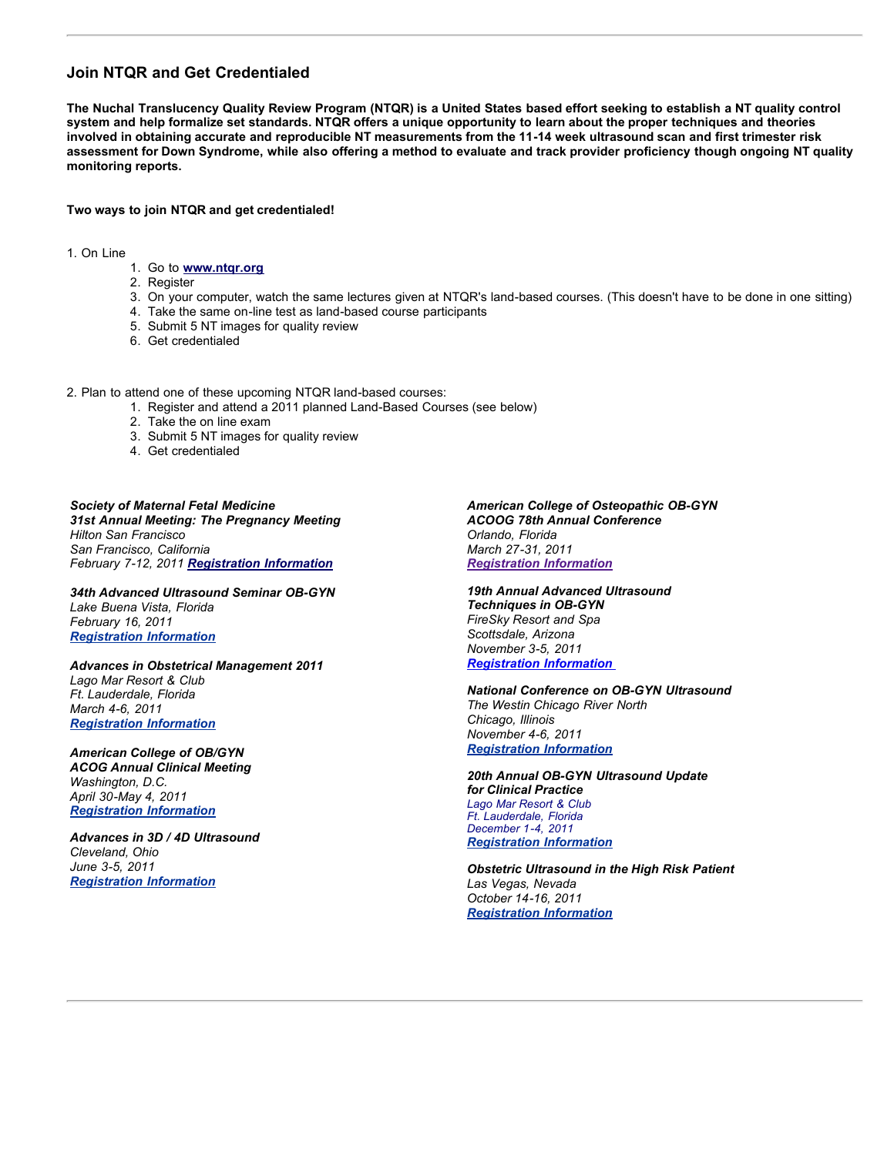#### **Join NTQR and Get Credentialed**

**The Nuchal Translucency Quality Review Program (NTQR) is a United States based effort seeking to establish a NT quality control system and help formalize set standards. NTQR offers a unique opportunity to learn about the proper techniques and theories involved in obtaining accurate and reproducible NT measurements from the 11-14 week ultrasound scan and first trimester risk assessment for Down Syndrome, while also offering a method to evaluate and track provider proficiency though ongoing NT quality monitoring reports.** 

**Two ways to join NTQR and get credentialed!** 

1. On Line

- 1. Go to **[www.ntqr.org](http://www.ntqr.org/)**
- 2. Register
- 3. On your computer, watch the same lectures given at NTQR's land-based courses. (This doesn't have to be done in one sitting)
- 4. Take the same on-line test as land-based course participants
- 5. Submit 5 NT images for quality review
- 6. Get credentialed

2. Plan to attend one of these upcoming NTQR land-based courses:

- 1. Register and attend a 2011 planned Land-Based Courses (see below)
- 2. Take the on line exam
- 3. Submit 5 NT images for quality review
- 4. Get credentialed

*Society of Maternal Fetal Medicine 31st Annual Meeting: The Pregnancy Meeting Hilton San Francisco San Francisco, California February 7-12, 2011 [Registration Information](http://www.iame.com/courses/ob1209/ob.html)*

*34th Advanced Ultrasound Seminar OB-GYN Lake Buena Vista, Florida February 16, 2011 [Registration Information](http://www.wfubmc.edu/ultrasound)*

*Advances in Obstetrical Management 2011 Lago Mar Resort & Club Ft. Lauderdale, Florida March 4-6, 2011 [Registration Information](http://www.smfm.org/)*

*American College of OB/GYN ACOG Annual Clinical Meeting Washington, D.C. April 30-May 4, 2011 [Registration Information](http://www.acog.org/)*

*Advances in 3D / 4D Ultrasound Cleveland, Ohio June 3-5, 2011 [Registration Information](http://www.iame.com/courses)*

*American College of Osteopathic OB-GYN ACOOG 78th Annual Conference Orlando, Florida March 27-31, 2011 [Registration Information](http://www.acoog.org/)*

*19th Annual Advanced Ultrasound Techniques in OB-GYN FireSky Resort and Spa Scottsdale, Arizona November 3-5, 2011 [Registration Information](http://www.ntqr.org/)* 

*National Conference on OB-GYN Ultrasound The Westin Chicago River North Chicago, Illinois November 4-6, 2011 [Registration Information](http://www.iame.com/courses)*

*20th Annual OB-GYN Ultrasound Update for Clinical Practice Lago Mar Resort & Club Ft. Lauderdale, Florida December 1-4, 2011 [Registration Information](http://www.meetingpro.info/PLAZA)*

*Obstetric Ultrasound in the High Risk Patient Las Vegas, Nevada October 14-16, 2011 [Registration Information](http://www.iame.com/courses)*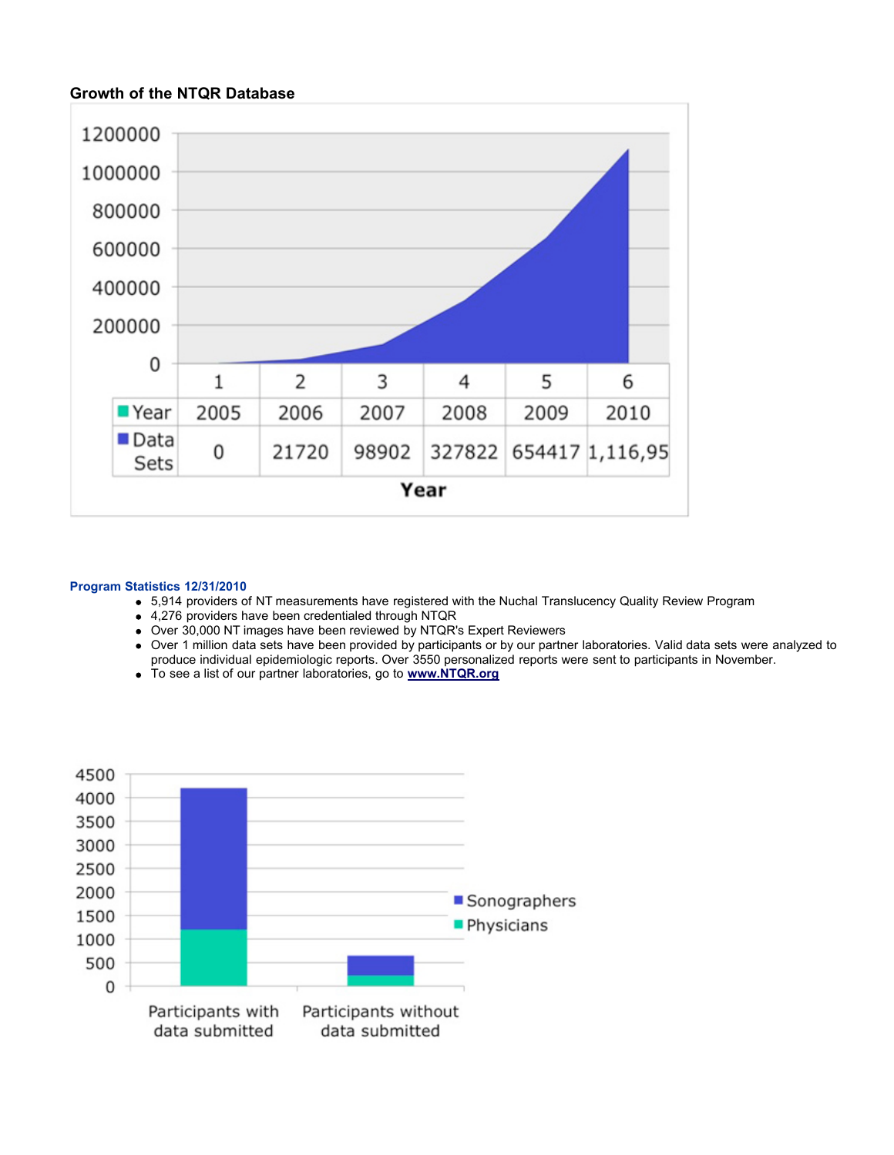#### **Growth of the NTQR Database**



#### **Program Statistics 12/31/2010**

- 5,914 providers of NT measurements have registered with the Nuchal Translucency Quality Review Program
- 4,276 providers have been credentialed through NTQR
- Over 30,000 NT images have been reviewed by NTQR's Expert Reviewers
- Over 1 million data sets have been provided by participants or by our partner laboratories. Valid data sets were analyzed to produce individual epidemiologic reports. Over 3550 personalized reports were sent to participants in November.
- To see a list of our partner laboratories, go to **[www.NTQR.org](http://www.NTQR.org/)**